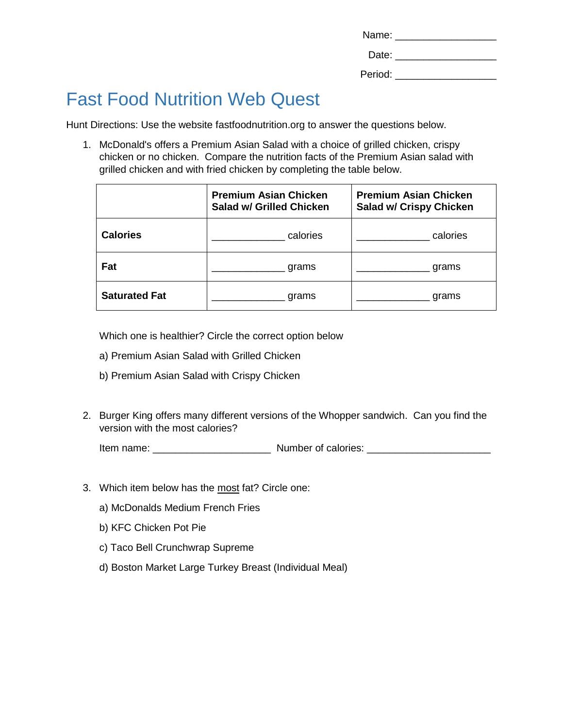| Name:   |  |
|---------|--|
| Date:   |  |
| Period: |  |

## Fast Food Nutrition Web Quest

Hunt Directions: Use the website fastfoodnutrition.org to answer the questions below.

1. McDonald's offers a Premium Asian Salad with a choice of grilled chicken, crispy chicken or no chicken. Compare the nutrition facts of the Premium Asian salad with grilled chicken and with fried chicken by completing the table below.

|                      | <b>Premium Asian Chicken</b><br><b>Salad w/ Grilled Chicken</b> | <b>Premium Asian Chicken</b><br><b>Salad w/ Crispy Chicken</b> |
|----------------------|-----------------------------------------------------------------|----------------------------------------------------------------|
| <b>Calories</b>      | calories                                                        | calories                                                       |
| Fat                  | grams                                                           | grams                                                          |
| <b>Saturated Fat</b> | grams                                                           | grams                                                          |

Which one is healthier? Circle the correct option below

- a) Premium Asian Salad with Grilled Chicken
- b) Premium Asian Salad with Crispy Chicken
- 2. Burger King offers many different versions of the Whopper sandwich. Can you find the version with the most calories?

Item name: \_\_\_\_\_\_\_\_\_\_\_\_\_\_\_\_\_\_\_\_\_ Number of calories: \_\_\_\_\_\_\_\_\_\_\_\_\_\_\_\_\_\_\_\_\_\_

- 3. Which item below has the most fat? Circle one:
	- a) McDonalds Medium French Fries
	- b) KFC Chicken Pot Pie
	- c) Taco Bell Crunchwrap Supreme
	- d) Boston Market Large Turkey Breast (Individual Meal)